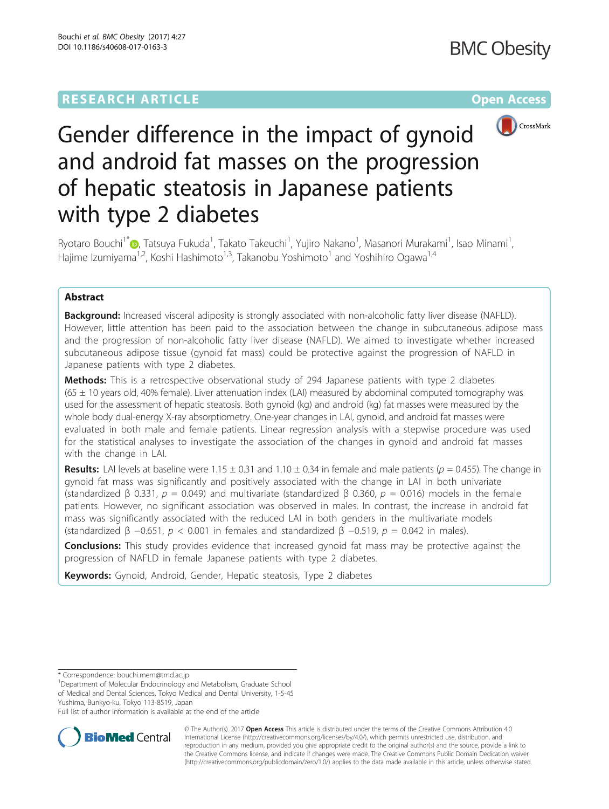# **RESEARCH ARTICLE Example 2014 12:30 The Community Community Community Community Community Community Community**



# Gender difference in the impact of gynoid and android fat masses on the progression of hepatic steatosis in Japanese patients with type 2 diabetes

Ryotaro Bouchi<sup>1\*</sup>�[,](http://orcid.org/0000-0002-7664-4342) Tatsuya Fukuda<sup>1</sup>, Takato Takeuchi<sup>1</sup>, Yujiro Nakano<sup>1</sup>, Masanori Murakami<sup>1</sup>, Isao Minami<sup>1</sup> , Hajime Izumiyama<sup>1,2</sup>, Koshi Hashimoto<sup>1,3</sup>, Takanobu Yoshimoto<sup>1</sup> and Yoshihiro Ogawa<sup>1,4</sup>

# Abstract

Background: Increased visceral adiposity is strongly associated with non-alcoholic fatty liver disease (NAFLD). However, little attention has been paid to the association between the change in subcutaneous adipose mass and the progression of non-alcoholic fatty liver disease (NAFLD). We aimed to investigate whether increased subcutaneous adipose tissue (gynoid fat mass) could be protective against the progression of NAFLD in Japanese patients with type 2 diabetes.

**Methods:** This is a retrospective observational study of 294 Japanese patients with type 2 diabetes (65 ± 10 years old, 40% female). Liver attenuation index (LAI) measured by abdominal computed tomography was used for the assessment of hepatic steatosis. Both gynoid (kg) and android (kg) fat masses were measured by the whole body dual-energy X-ray absorptiometry. One-year changes in LAI, gynoid, and android fat masses were evaluated in both male and female patients. Linear regression analysis with a stepwise procedure was used for the statistical analyses to investigate the association of the changes in gynoid and android fat masses with the change in LAI.

**Results:** LAI levels at baseline were 1.15  $\pm$  0.31 and 1.10  $\pm$  0.34 in female and male patients ( $p = 0.455$ ). The change in gynoid fat mass was significantly and positively associated with the change in LAI in both univariate (standardized β 0.331,  $p = 0.049$ ) and multivariate (standardized β 0.360,  $p = 0.016$ ) models in the female patients. However, no significant association was observed in males. In contrast, the increase in android fat mass was significantly associated with the reduced LAI in both genders in the multivariate models (standardized  $\beta$  -0.651,  $p < 0.001$  in females and standardized  $\beta$  -0.519,  $p = 0.042$  in males).

**Conclusions:** This study provides evidence that increased gynoid fat mass may be protective against the progression of NAFLD in female Japanese patients with type 2 diabetes.

Keywords: Gynoid, Android, Gender, Hepatic steatosis, Type 2 diabetes

\* Correspondence: [bouchi.mem@tmd.ac.jp](mailto:bouchi.mem@tmd.ac.jp) <sup>1</sup>

<sup>1</sup>Department of Molecular Endocrinology and Metabolism, Graduate School of Medical and Dental Sciences, Tokyo Medical and Dental University, 1-5-45 Yushima, Bunkyo-ku, Tokyo 113-8519, Japan

Full list of author information is available at the end of the article



© The Author(s). 2017 **Open Access** This article is distributed under the terms of the Creative Commons Attribution 4.0 International License [\(http://creativecommons.org/licenses/by/4.0/](http://creativecommons.org/licenses/by/4.0/)), which permits unrestricted use, distribution, and reproduction in any medium, provided you give appropriate credit to the original author(s) and the source, provide a link to the Creative Commons license, and indicate if changes were made. The Creative Commons Public Domain Dedication waiver [\(http://creativecommons.org/publicdomain/zero/1.0/](http://creativecommons.org/publicdomain/zero/1.0/)) applies to the data made available in this article, unless otherwise stated.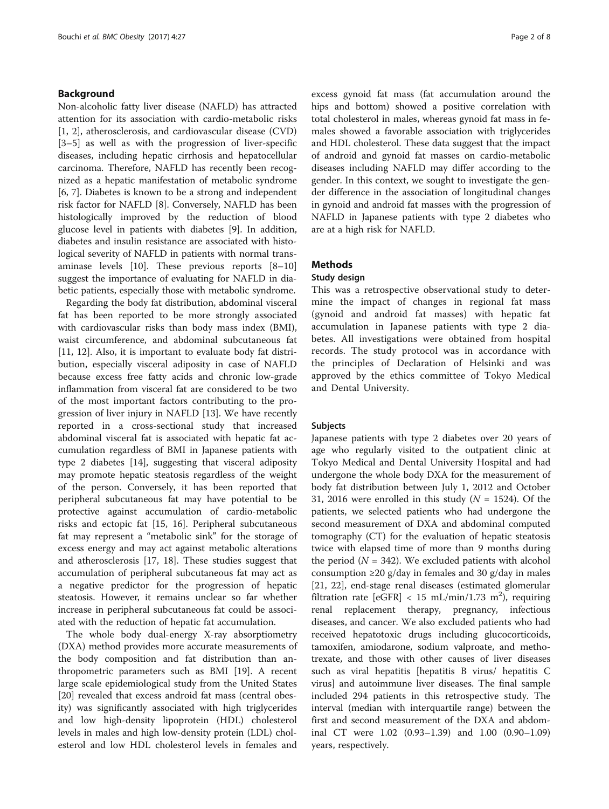# Background

Non-alcoholic fatty liver disease (NAFLD) has attracted attention for its association with cardio-metabolic risks [[1, 2](#page-6-0)], atherosclerosis, and cardiovascular disease (CVD) [[3](#page-6-0)–[5\]](#page-6-0) as well as with the progression of liver-specific diseases, including hepatic cirrhosis and hepatocellular carcinoma. Therefore, NAFLD has recently been recognized as a hepatic manifestation of metabolic syndrome [[6, 7\]](#page-6-0). Diabetes is known to be a strong and independent risk factor for NAFLD [\[8](#page-6-0)]. Conversely, NAFLD has been histologically improved by the reduction of blood glucose level in patients with diabetes [[9\]](#page-6-0). In addition, diabetes and insulin resistance are associated with histological severity of NAFLD in patients with normal transaminase levels [\[10](#page-6-0)]. These previous reports [[8](#page-6-0)–[10](#page-6-0)] suggest the importance of evaluating for NAFLD in diabetic patients, especially those with metabolic syndrome.

Regarding the body fat distribution, abdominal visceral fat has been reported to be more strongly associated with cardiovascular risks than body mass index (BMI), waist circumference, and abdominal subcutaneous fat [[11, 12](#page-6-0)]. Also, it is important to evaluate body fat distribution, especially visceral adiposity in case of NAFLD because excess free fatty acids and chronic low-grade inflammation from visceral fat are considered to be two of the most important factors contributing to the progression of liver injury in NAFLD [\[13\]](#page-6-0). We have recently reported in a cross-sectional study that increased abdominal visceral fat is associated with hepatic fat accumulation regardless of BMI in Japanese patients with type 2 diabetes [\[14\]](#page-6-0), suggesting that visceral adiposity may promote hepatic steatosis regardless of the weight of the person. Conversely, it has been reported that peripheral subcutaneous fat may have potential to be protective against accumulation of cardio-metabolic risks and ectopic fat [\[15, 16\]](#page-6-0). Peripheral subcutaneous fat may represent a "metabolic sink" for the storage of excess energy and may act against metabolic alterations and atherosclerosis [[17](#page-6-0), [18\]](#page-6-0). These studies suggest that accumulation of peripheral subcutaneous fat may act as a negative predictor for the progression of hepatic steatosis. However, it remains unclear so far whether increase in peripheral subcutaneous fat could be associated with the reduction of hepatic fat accumulation.

The whole body dual-energy X-ray absorptiometry (DXA) method provides more accurate measurements of the body composition and fat distribution than anthropometric parameters such as BMI [[19\]](#page-6-0). A recent large scale epidemiological study from the United States [[20\]](#page-6-0) revealed that excess android fat mass (central obesity) was significantly associated with high triglycerides and low high-density lipoprotein (HDL) cholesterol levels in males and high low-density protein (LDL) cholesterol and low HDL cholesterol levels in females and

excess gynoid fat mass (fat accumulation around the hips and bottom) showed a positive correlation with total cholesterol in males, whereas gynoid fat mass in females showed a favorable association with triglycerides and HDL cholesterol. These data suggest that the impact of android and gynoid fat masses on cardio-metabolic diseases including NAFLD may differ according to the gender. In this context, we sought to investigate the gender difference in the association of longitudinal changes in gynoid and android fat masses with the progression of NAFLD in Japanese patients with type 2 diabetes who are at a high risk for NAFLD.

# **Methods**

# Study design

This was a retrospective observational study to determine the impact of changes in regional fat mass (gynoid and android fat masses) with hepatic fat accumulation in Japanese patients with type 2 diabetes. All investigations were obtained from hospital records. The study protocol was in accordance with the principles of Declaration of Helsinki and was approved by the ethics committee of Tokyo Medical and Dental University.

# Subjects

Japanese patients with type 2 diabetes over 20 years of age who regularly visited to the outpatient clinic at Tokyo Medical and Dental University Hospital and had undergone the whole body DXA for the measurement of body fat distribution between July 1, 2012 and October 31, 2016 were enrolled in this study ( $N = 1524$ ). Of the patients, we selected patients who had undergone the second measurement of DXA and abdominal computed tomography (CT) for the evaluation of hepatic steatosis twice with elapsed time of more than 9 months during the period ( $N = 342$ ). We excluded patients with alcohol consumption  $\geq 20$  g/day in females and 30 g/day in males [[21, 22\]](#page-6-0), end-stage renal diseases (estimated glomerular filtration rate [eGFR] < 15 mL/min/1.73 m<sup>2</sup>), requiring renal replacement therapy, pregnancy, infectious diseases, and cancer. We also excluded patients who had received hepatotoxic drugs including glucocorticoids, tamoxifen, amiodarone, sodium valproate, and methotrexate, and those with other causes of liver diseases such as viral hepatitis [hepatitis B virus/ hepatitis C virus] and autoimmune liver diseases. The final sample included 294 patients in this retrospective study. The interval (median with interquartile range) between the first and second measurement of the DXA and abdominal CT were 1.02 (0.93–1.39) and 1.00 (0.90–1.09) years, respectively.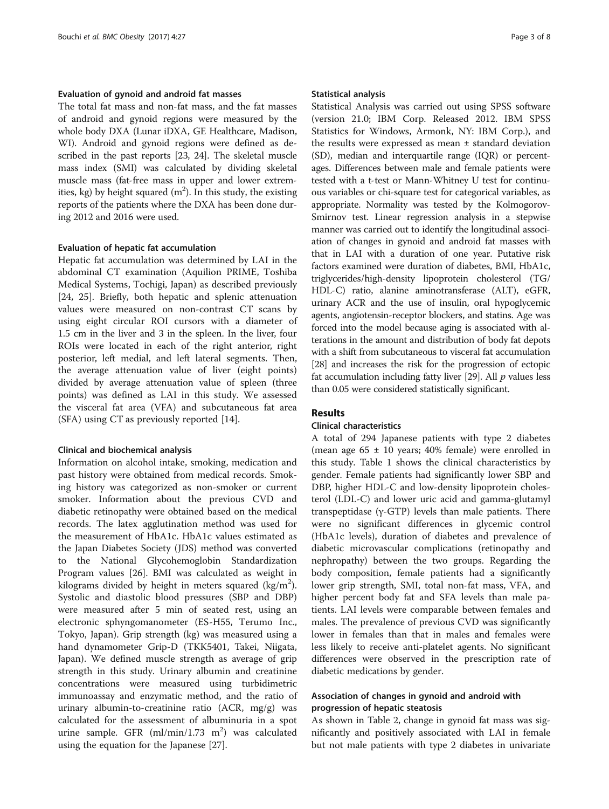# Evaluation of gynoid and android fat masses

The total fat mass and non-fat mass, and the fat masses of android and gynoid regions were measured by the whole body DXA (Lunar iDXA, GE Healthcare, Madison, WI). Android and gynoid regions were defined as described in the past reports [\[23, 24\]](#page-6-0). The skeletal muscle mass index (SMI) was calculated by dividing skeletal muscle mass (fat-free mass in upper and lower extremities, kg) by height squared (m<sup>2</sup>). In this study, the existing reports of the patients where the DXA has been done during 2012 and 2016 were used.

#### Evaluation of hepatic fat accumulation

Hepatic fat accumulation was determined by LAI in the abdominal CT examination (Aquilion PRIME, Toshiba Medical Systems, Tochigi, Japan) as described previously [[24, 25\]](#page-6-0). Briefly, both hepatic and splenic attenuation values were measured on non-contrast CT scans by using eight circular ROI cursors with a diameter of 1.5 cm in the liver and 3 in the spleen. In the liver, four ROIs were located in each of the right anterior, right posterior, left medial, and left lateral segments. Then, the average attenuation value of liver (eight points) divided by average attenuation value of spleen (three points) was defined as LAI in this study. We assessed the visceral fat area (VFA) and subcutaneous fat area (SFA) using CT as previously reported [[14](#page-6-0)].

#### Clinical and biochemical analysis

Information on alcohol intake, smoking, medication and past history were obtained from medical records. Smoking history was categorized as non-smoker or current smoker. Information about the previous CVD and diabetic retinopathy were obtained based on the medical records. The latex agglutination method was used for the measurement of HbA1c. HbA1c values estimated as the Japan Diabetes Society (JDS) method was converted to the National Glycohemoglobin Standardization Program values [[26](#page-6-0)]. BMI was calculated as weight in kilograms divided by height in meters squared (kg/m<sup>2</sup>). Systolic and diastolic blood pressures (SBP and DBP) were measured after 5 min of seated rest, using an electronic sphyngomanometer (ES-H55, Terumo Inc., Tokyo, Japan). Grip strength (kg) was measured using a hand dynamometer Grip-D (TKK5401, Takei, Niigata, Japan). We defined muscle strength as average of grip strength in this study. Urinary albumin and creatinine concentrations were measured using turbidimetric immunoassay and enzymatic method, and the ratio of urinary albumin-to-creatinine ratio (ACR, mg/g) was calculated for the assessment of albuminuria in a spot urine sample. GFR (ml/min/1.73 m<sup>2</sup>) was calculated using the equation for the Japanese [\[27](#page-7-0)].

#### Statistical analysis

Statistical Analysis was carried out using SPSS software (version 21.0; IBM Corp. Released 2012. IBM SPSS Statistics for Windows, Armonk, NY: IBM Corp.), and the results were expressed as mean ± standard deviation (SD), median and interquartile range (IQR) or percentages. Differences between male and female patients were tested with a t-test or Mann-Whitney U test for continuous variables or chi-square test for categorical variables, as appropriate. Normality was tested by the Kolmogorov-Smirnov test. Linear regression analysis in a stepwise manner was carried out to identify the longitudinal association of changes in gynoid and android fat masses with that in LAI with a duration of one year. Putative risk factors examined were duration of diabetes, BMI, HbA1c, triglycerides/high-density lipoprotein cholesterol (TG/ HDL-C) ratio, alanine aminotransferase (ALT), eGFR, urinary ACR and the use of insulin, oral hypoglycemic agents, angiotensin-receptor blockers, and statins. Age was forced into the model because aging is associated with alterations in the amount and distribution of body fat depots with a shift from subcutaneous to visceral fat accumulation [[28](#page-7-0)] and increases the risk for the progression of ectopic fat accumulation including fatty liver [\[29\]](#page-7-0). All  $p$  values less than 0.05 were considered statistically significant.

# Results

#### Clinical characteristics

A total of 294 Japanese patients with type 2 diabetes (mean age  $65 \pm 10$  years; 40% female) were enrolled in this study. Table [1](#page-3-0) shows the clinical characteristics by gender. Female patients had significantly lower SBP and DBP, higher HDL-C and low-density lipoprotein cholesterol (LDL-C) and lower uric acid and gamma-glutamyl transpeptidase (γ-GTP) levels than male patients. There were no significant differences in glycemic control (HbA1c levels), duration of diabetes and prevalence of diabetic microvascular complications (retinopathy and nephropathy) between the two groups. Regarding the body composition, female patients had a significantly lower grip strength, SMI, total non-fat mass, VFA, and higher percent body fat and SFA levels than male patients. LAI levels were comparable between females and males. The prevalence of previous CVD was significantly lower in females than that in males and females were less likely to receive anti-platelet agents. No significant differences were observed in the prescription rate of diabetic medications by gender.

# Association of changes in gynoid and android with progression of hepatic steatosis

As shown in Table [2,](#page-4-0) change in gynoid fat mass was significantly and positively associated with LAI in female but not male patients with type 2 diabetes in univariate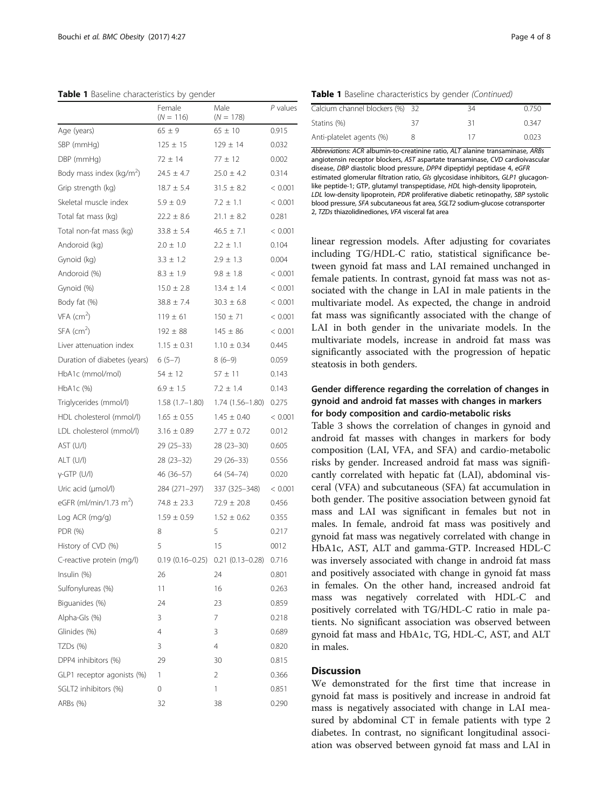<span id="page-3-0"></span>Table 1 Baseline characteristics by gender

|                                    | Female<br>$(N = 116)$ | Male<br>$(N = 178)$                   | P values |  |
|------------------------------------|-----------------------|---------------------------------------|----------|--|
| Age (years)                        | $65 \pm 9$            | $65 \pm 10$                           | 0.915    |  |
| SBP (mmHg)                         | $125 \pm 15$          | $129 \pm 14$                          | 0.032    |  |
| DBP (mmHg)                         | $72 \pm 14$           | $77 \pm 12$                           | 0.002    |  |
| Body mass index ( $kg/m2$ )        | $24.5 \pm 4.7$        | $25.0 \pm 4.2$                        | 0.314    |  |
| Grip strength (kg)                 | $18.7 \pm 5.4$        | $31.5 \pm 8.2$                        | < 0.001  |  |
| Skeletal muscle index              | $5.9 \pm 0.9$         | $7.2 \pm 1.1$                         | < 0.001  |  |
| Total fat mass (kg)                | $22.2 \pm 8.6$        | $21.1 \pm 8.2$                        | 0.281    |  |
| Total non-fat mass (kg)            | $33.8 \pm 5.4$        | $46.5 \pm 7.1$                        | < 0.001  |  |
| Andoroid (kg)                      | $2.0 \pm 1.0$         | $2.2 \pm 1.1$                         | 0.104    |  |
| Gynoid (kg)                        | $3.3 \pm 1.2$         | $2.9 \pm 1.3$                         | 0.004    |  |
| Andoroid (%)                       | $8.3 \pm 1.9$         | $9.8 \pm 1.8$                         | < 0.001  |  |
| Gynoid (%)                         | $15.0 \pm 2.8$        | $13.4 \pm 1.4$                        | < 0.001  |  |
| Body fat (%)                       | $38.8 \pm 7.4$        | $30.3 \pm 6.8$                        | < 0.001  |  |
| $VFA$ (cm <sup>2</sup> )           | $119 \pm 61$          | $150 \pm 71$                          | < 0.001  |  |
| $SFA$ (cm <sup>2</sup> )           | $192 \pm 88$          | $145 \pm 86$                          | < 0.001  |  |
| Liver attenuation index            | $1.15 \pm 0.31$       | $1.10 \pm 0.34$                       | 0.445    |  |
| Duration of diabetes (years)       | $6(5-7)$              | $8(6-9)$                              | 0.059    |  |
| HbA1c (mmol/mol)                   | $54 \pm 12$           | $57 \pm 11$                           | 0.143    |  |
| HbA1c (%)                          | $6.9 \pm 1.5$         | $7.2 \pm 1.4$                         | 0.143    |  |
| Triglycerides (mmol/l)             | $1.58(1.7-1.80)$      | $1.74(1.56 - 1.80)$                   | 0.275    |  |
| HDL cholesterol (mmol/l)           | $1.65 \pm 0.55$       | $1.45 \pm 0.40$                       | < 0.001  |  |
| LDL cholesterol (mmol/l)           | $3.16 \pm 0.89$       | $2.77 \pm 0.72$                       | 0.012    |  |
| AST (U/I)                          | $29(25-33)$           | $28(23-30)$                           | 0.605    |  |
| ALT (U/I)                          | 28 (23–32)            | 29 (26–33)                            | 0.556    |  |
| $y$ -GTP (U/I)                     | 46 (36-57)            | 64 (54-74)                            | 0.020    |  |
| Uric acid (µmol/l)                 | 284 (271-297)         | 337 (325-348)                         | < 0.001  |  |
| eGFR (ml/min/1.73 m <sup>2</sup> ) | $74.8 \pm 23.3$       | $72.9 \pm 20.8$                       | 0.456    |  |
| Log ACR (mg/g)                     | $1.59 \pm 0.59$       | $1.52 \pm 0.62$                       | 0.355    |  |
| PDR (%)                            | 8                     | 5                                     | 0.217    |  |
| History of CVD (%)                 | 5                     | 15                                    | 0012     |  |
| C-reactive protein (mg/l)          |                       | $0.19$ (0.16-0.25) $0.21$ (0.13-0.28) | 0.716    |  |
| Insulin (%)                        | 26                    | 24                                    | 0.801    |  |
| Sulfonylureas (%)                  | 11                    | 16                                    | 0.263    |  |
| Biguanides (%)                     | 24                    | 23                                    | 0.859    |  |
| Alpha-Gls (%)                      | 3                     | 7                                     | 0.218    |  |
| Glinides (%)                       | $\overline{4}$        | 3                                     | 0.689    |  |
| TZDs(%)                            | 3                     | 4                                     | 0.820    |  |
| DPP4 inhibitors (%)                | 29                    | 30                                    | 0.815    |  |
| GLP1 receptor agonists (%)         | 1                     | $\overline{2}$                        | 0.366    |  |
| SGLT2 inhibitors (%)               | 0                     | 1                                     | 0.851    |  |
| ARBs (%)                           | 32                    | 38                                    | 0.290    |  |

Table 1 Baseline characteristics by gender (Continued)

| Calcium channel blockers (%) 32 |    |    | 0750  |
|---------------------------------|----|----|-------|
| Statins (%)                     | 37 | 31 | 0347  |
| Anti-platelet agents (%)        |    | 17 | 0.023 |

Abbreviations: ACR albumin-to-creatinine ratio, ALT alanine transaminase, ARBs angiotensin receptor blockers, AST aspartate transaminase, CVD cardioivascular disease, DBP diastolic blood pressure, DPP4 dipeptidyl peptidase 4, eGFR estimated glomerular filtration ratio, GIs glycosidase inhibitors, GLP1 glucagonlike peptide-1; GTP, glutamyl transpeptidase, HDL high-density lipoprotein, LDL low-density lipoprotein, PDR proliferative diabetic retinopathy, SBP systolic blood pressure, SFA subcutaneous fat area, SGLT2 sodium-glucose cotransporter 2, TZDs thiazolidinediones, VFA visceral fat area

linear regression models. After adjusting for covariates including TG/HDL-C ratio, statistical significance between gynoid fat mass and LAI remained unchanged in female patients. In contrast, gynoid fat mass was not associated with the change in LAI in male patients in the multivariate model. As expected, the change in android fat mass was significantly associated with the change of LAI in both gender in the univariate models. In the multivariate models, increase in android fat mass was significantly associated with the progression of hepatic steatosis in both genders.

# Gender difference regarding the correlation of changes in gynoid and android fat masses with changes in markers for body composition and cardio-metabolic risks

Table [3](#page-4-0) shows the correlation of changes in gynoid and android fat masses with changes in markers for body composition (LAI, VFA, and SFA) and cardio-metabolic risks by gender. Increased android fat mass was significantly correlated with hepatic fat (LAI), abdominal visceral (VFA) and subcutaneous (SFA) fat accumulation in both gender. The positive association between gynoid fat mass and LAI was significant in females but not in males. In female, android fat mass was positively and gynoid fat mass was negatively correlated with change in HbA1c, AST, ALT and gamma-GTP. Increased HDL-C was inversely associated with change in android fat mass and positively associated with change in gynoid fat mass in females. On the other hand, increased android fat mass was negatively correlated with HDL-C and positively correlated with TG/HDL-C ratio in male patients. No significant association was observed between gynoid fat mass and HbA1c, TG, HDL-C, AST, and ALT in males.

# **Discussion**

We demonstrated for the first time that increase in gynoid fat mass is positively and increase in android fat mass is negatively associated with change in LAI measured by abdominal CT in female patients with type 2 diabetes. In contrast, no significant longitudinal association was observed between gynoid fat mass and LAI in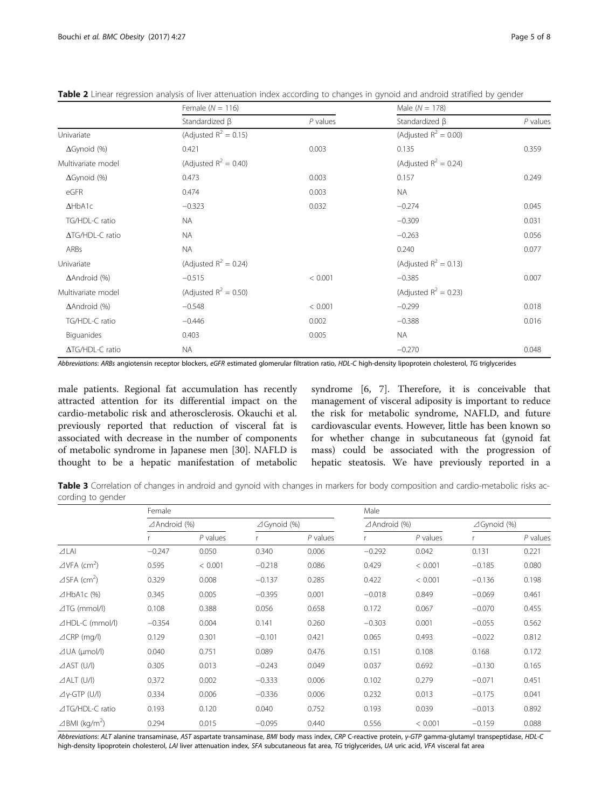<span id="page-4-0"></span>

|                      | Female $(N = 116)$       |            | Male $(N = 178)$         |            |  |
|----------------------|--------------------------|------------|--------------------------|------------|--|
|                      | Standardized B           | $P$ values | Standardized B           | $P$ values |  |
| Univariate           | (Adjusted $R^2 = 0.15$ ) |            | (Adjusted $R^2 = 0.00$ ) |            |  |
| $\Delta G$ ynoid (%) | 0.421                    | 0.003      | 0.135                    | 0.359      |  |
| Multivariate model   | (Adjusted $R^2 = 0.40$ ) |            | (Adjusted $R^2 = 0.24$ ) |            |  |
| $\Delta G$ ynoid (%) | 0.473                    | 0.003      | 0.157                    | 0.249      |  |
| eGFR                 | 0.474                    | 0.003      | <b>NA</b>                |            |  |
| $\Delta H$ b $A1c$   | $-0.323$                 | 0.032      | 0.045<br>$-0.274$        |            |  |
|                      |                          |            |                          |            |  |

Table 2 Linear regres

TG/HDL-C ratio NA −0.309 0.031 ΔTG/HDL-C ratio NA −0.263 0.056 ARBs NA 0.240 0.077

ΔAndroid (%) −0.515 < 0.001 −0.385 0.007

ΔAndroid (%) −0.548 < 0.001 −0.299 0.018 TG/HDL-C ratio −0.446 0.002 −0.388 0.016

ΔTG/HDL-C ratio NA −0.270 0.048

Abbreviations: ARBs angiotensin receptor blockers, eGFR estimated glomerular filtration ratio, HDL-C high-density lipoprotein cholesterol, TG triglycerides

Univariate (Adjusted R<sup>2</sup> = 0.24) (Adjusted R<sup>2</sup> = 0.13)

Multivariate model (Adjusted R<sup>2</sup> = 0.50) (Adjusted R<sup>2</sup> = 0.23)

Biguanides 0.403 0.005 NA

male patients. Regional fat accumulation has recently attracted attention for its differential impact on the cardio-metabolic risk and atherosclerosis. Okauchi et al. previously reported that reduction of visceral fat is associated with decrease in the number of components of metabolic syndrome in Japanese men [[30\]](#page-7-0). NAFLD is thought to be a hepatic manifestation of metabolic syndrome [\[6, 7\]](#page-6-0). Therefore, it is conceivable that management of visceral adiposity is important to reduce the risk for metabolic syndrome, NAFLD, and future cardiovascular events. However, little has been known so for whether change in subcutaneous fat (gynoid fat mass) could be associated with the progression of hepatic steatosis. We have previously reported in a

Table 3 Correlation of changes in android and gynoid with changes in markers for body composition and cardio-metabolic risks according to gender

|                                      | Female   |                         |          |                         | Male     |                         |          |                         |  |
|--------------------------------------|----------|-------------------------|----------|-------------------------|----------|-------------------------|----------|-------------------------|--|
|                                      |          | $\triangle$ Android (%) |          | $\triangle G$ ynoid (%) |          | $\triangle$ Android (%) |          | $\triangle G$ ynoid (%) |  |
|                                      |          | $P$ values              |          | $P$ values              |          | $P$ values              |          | $P$ values              |  |
| $\triangle$ LAI                      | $-0.247$ | 0.050                   | 0.340    | 0.006                   | $-0.292$ | 0.042                   | 0.131    | 0.221                   |  |
| $\triangle$ VFA (cm <sup>2</sup> )   | 0.595    | < 0.001                 | $-0.218$ | 0.086                   | 0.429    | < 0.001                 | $-0.185$ | 0.080                   |  |
| $\triangle$ SFA (cm <sup>2</sup> )   | 0.329    | 0.008                   | $-0.137$ | 0.285                   | 0.422    | < 0.001                 | $-0.136$ | 0.198                   |  |
| $\triangle$ HbA1c (%)                | 0.345    | 0.005                   | $-0.395$ | 0.001                   | $-0.018$ | 0.849                   | $-0.069$ | 0.461                   |  |
| $\triangle TG$ (mmol/l)              | 0.108    | 0.388                   | 0.056    | 0.658                   | 0.172    | 0.067                   | $-0.070$ | 0.455                   |  |
| ⊿HDL-C (mmol/l)                      | $-0.354$ | 0.004                   | 0.141    | 0.260                   | $-0.303$ | 0.001                   | $-0.055$ | 0.562                   |  |
| $\triangle$ CRP (mg/l)               | 0.129    | 0.301                   | $-0.101$ | 0.421                   | 0.065    | 0.493                   | $-0.022$ | 0.812                   |  |
| $\triangle$ UA (µmol/l)              | 0.040    | 0.751                   | 0.089    | 0.476                   | 0.151    | 0.108                   | 0.168    | 0.172                   |  |
| $\triangle$ AST (U/I)                | 0.305    | 0.013                   | $-0.243$ | 0.049                   | 0.037    | 0.692                   | $-0.130$ | 0.165                   |  |
| $\triangle$ ALT (U/I)                | 0.372    | 0.002                   | $-0.333$ | 0.006                   | 0.102    | 0.279                   | $-0.071$ | 0.451                   |  |
| $\triangle$ y-GTP (U/I)              | 0.334    | 0.006                   | $-0.336$ | 0.006                   | 0.232    | 0.013                   | $-0.175$ | 0.041                   |  |
| ⊿TG/HDL-C ratio                      | 0.193    | 0.120                   | 0.040    | 0.752                   | 0.193    | 0.039                   | $-0.013$ | 0.892                   |  |
| $\triangle$ BMI (kg/m <sup>2</sup> ) | 0.294    | 0.015                   | $-0.095$ | 0.440                   | 0.556    | < 0.001                 | $-0.159$ | 0.088                   |  |

Abbreviations: ALT alanine transaminase, AST aspartate transaminase, BMI body mass index, CRP C-reactive protein, γ-GTP gamma-glutamyl transpeptidase, HDL-C high-density lipoprotein cholesterol, LAI liver attenuation index, SFA subcutaneous fat area, TG triglycerides, UA uric acid, VFA visceral fat area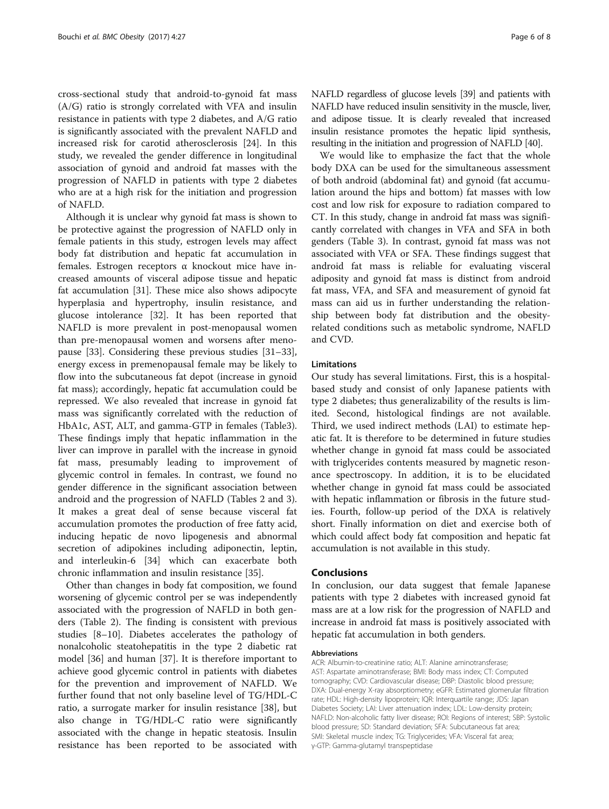cross-sectional study that android-to-gynoid fat mass (A/G) ratio is strongly correlated with VFA and insulin resistance in patients with type 2 diabetes, and A/G ratio is significantly associated with the prevalent NAFLD and increased risk for carotid atherosclerosis [[24\]](#page-6-0). In this study, we revealed the gender difference in longitudinal association of gynoid and android fat masses with the progression of NAFLD in patients with type 2 diabetes who are at a high risk for the initiation and progression of NAFLD.

Although it is unclear why gynoid fat mass is shown to be protective against the progression of NAFLD only in female patients in this study, estrogen levels may affect body fat distribution and hepatic fat accumulation in females. Estrogen receptors α knockout mice have increased amounts of visceral adipose tissue and hepatic fat accumulation [\[31\]](#page-7-0). These mice also shows adipocyte hyperplasia and hypertrophy, insulin resistance, and glucose intolerance [[32\]](#page-7-0). It has been reported that NAFLD is more prevalent in post-menopausal women than pre-menopausal women and worsens after menopause [\[33\]](#page-7-0). Considering these previous studies [[31](#page-7-0)–[33](#page-7-0)], energy excess in premenopausal female may be likely to flow into the subcutaneous fat depot (increase in gynoid fat mass); accordingly, hepatic fat accumulation could be repressed. We also revealed that increase in gynoid fat mass was significantly correlated with the reduction of HbA1c, AST, ALT, and gamma-GTP in females (Table3). These findings imply that hepatic inflammation in the liver can improve in parallel with the increase in gynoid fat mass, presumably leading to improvement of glycemic control in females. In contrast, we found no gender difference in the significant association between android and the progression of NAFLD (Tables [2](#page-4-0) and [3](#page-4-0)). It makes a great deal of sense because visceral fat accumulation promotes the production of free fatty acid, inducing hepatic de novo lipogenesis and abnormal secretion of adipokines including adiponectin, leptin, and interleukin-6 [\[34\]](#page-7-0) which can exacerbate both chronic inflammation and insulin resistance [[35\]](#page-7-0).

Other than changes in body fat composition, we found worsening of glycemic control per se was independently associated with the progression of NAFLD in both genders (Table [2](#page-4-0)). The finding is consistent with previous studies [\[8](#page-6-0)–[10\]](#page-6-0). Diabetes accelerates the pathology of nonalcoholic steatohepatitis in the type 2 diabetic rat model [[36\]](#page-7-0) and human [\[37\]](#page-7-0). It is therefore important to achieve good glycemic control in patients with diabetes for the prevention and improvement of NAFLD. We further found that not only baseline level of TG/HDL-C ratio, a surrogate marker for insulin resistance [\[38\]](#page-7-0), but also change in TG/HDL-C ratio were significantly associated with the change in hepatic steatosis. Insulin resistance has been reported to be associated with NAFLD regardless of glucose levels [\[39\]](#page-7-0) and patients with NAFLD have reduced insulin sensitivity in the muscle, liver, and adipose tissue. It is clearly revealed that increased insulin resistance promotes the hepatic lipid synthesis, resulting in the initiation and progression of NAFLD [\[40\]](#page-7-0).

We would like to emphasize the fact that the whole body DXA can be used for the simultaneous assessment of both android (abdominal fat) and gynoid (fat accumulation around the hips and bottom) fat masses with low cost and low risk for exposure to radiation compared to CT. In this study, change in android fat mass was significantly correlated with changes in VFA and SFA in both genders (Table [3\)](#page-4-0). In contrast, gynoid fat mass was not associated with VFA or SFA. These findings suggest that android fat mass is reliable for evaluating visceral adiposity and gynoid fat mass is distinct from android fat mass, VFA, and SFA and measurement of gynoid fat mass can aid us in further understanding the relationship between body fat distribution and the obesityrelated conditions such as metabolic syndrome, NAFLD and CVD.

# Limitations

Our study has several limitations. First, this is a hospitalbased study and consist of only Japanese patients with type 2 diabetes; thus generalizability of the results is limited. Second, histological findings are not available. Third, we used indirect methods (LAI) to estimate hepatic fat. It is therefore to be determined in future studies whether change in gynoid fat mass could be associated with triglycerides contents measured by magnetic resonance spectroscopy. In addition, it is to be elucidated whether change in gynoid fat mass could be associated with hepatic inflammation or fibrosis in the future studies. Fourth, follow-up period of the DXA is relatively short. Finally information on diet and exercise both of which could affect body fat composition and hepatic fat accumulation is not available in this study.

# Conclusions

In conclusion, our data suggest that female Japanese patients with type 2 diabetes with increased gynoid fat mass are at a low risk for the progression of NAFLD and increase in android fat mass is positively associated with hepatic fat accumulation in both genders.

## Abbreviations

ACR: Albumin-to-creatinine ratio; ALT: Alanine aminotransferase; AST: Aspartate aminotransferase; BMI: Body mass index; CT: Computed tomography; CVD: Cardiovascular disease; DBP: Diastolic blood pressure; DXA: Dual-energy X-ray absorptiometry; eGFR: Estimated glomerular filtration rate; HDL: High-density lipoprotein; IQR: Interquartile range; JDS: Japan Diabetes Society; LAI: Liver attenuation index; LDL: Low-density protein; NAFLD: Non-alcoholic fatty liver disease; ROI: Regions of interest; SBP: Systolic blood pressure; SD: Standard deviation; SFA: Subcutaneous fat area; SMI: Skeletal muscle index; TG: Triglycerides; VFA: Visceral fat area; γ-GTP: Gamma-glutamyl transpeptidase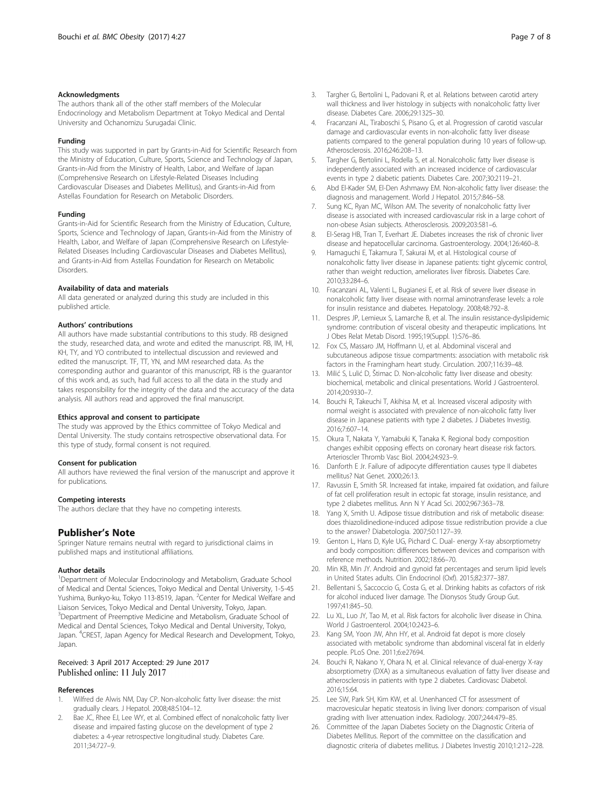#### <span id="page-6-0"></span>Acknowledgments

The authors thank all of the other staff members of the Molecular Endocrinology and Metabolism Department at Tokyo Medical and Dental University and Ochanomizu Surugadai Clinic.

#### Funding

This study was supported in part by Grants-in-Aid for Scientific Research from the Ministry of Education, Culture, Sports, Science and Technology of Japan, Grants-in-Aid from the Ministry of Health, Labor, and Welfare of Japan (Comprehensive Research on Lifestyle-Related Diseases Including Cardiovascular Diseases and Diabetes Mellitus), and Grants-in-Aid from Astellas Foundation for Research on Metabolic Disorders.

#### Funding

Grants-in-Aid for Scientific Research from the Ministry of Education, Culture, Sports, Science and Technology of Japan, Grants-in-Aid from the Ministry of Health, Labor, and Welfare of Japan (Comprehensive Research on Lifestyle-Related Diseases Including Cardiovascular Diseases and Diabetes Mellitus), and Grants-in-Aid from Astellas Foundation for Research on Metabolic Disorders.

#### Availability of data and materials

All data generated or analyzed during this study are included in this published article.

#### Authors' contributions

All authors have made substantial contributions to this study. RB designed the study, researched data, and wrote and edited the manuscript. RB, IM, HI, KH, TY, and YO contributed to intellectual discussion and reviewed and edited the manuscript. TF, TT, YN, and MM researched data. As the corresponding author and guarantor of this manuscript, RB is the guarantor of this work and, as such, had full access to all the data in the study and takes responsibility for the integrity of the data and the accuracy of the data analysis. All authors read and approved the final manuscript.

#### Ethics approval and consent to participate

The study was approved by the Ethics committee of Tokyo Medical and Dental University. The study contains retrospective observational data. For this type of study, formal consent is not required.

#### Consent for publication

All authors have reviewed the final version of the manuscript and approve it for publications.

#### Competing interests

The authors declare that they have no competing interests.

# Publisher's Note

Springer Nature remains neutral with regard to jurisdictional claims in published maps and institutional affiliations.

#### Author details

<sup>1</sup>Department of Molecular Endocrinology and Metabolism, Graduate School of Medical and Dental Sciences, Tokyo Medical and Dental University, 1-5-45 Yushima, Bunkyo-ku, Tokyo 113-8519, Japan. <sup>2</sup>Center for Medical Welfare and Liaison Services, Tokyo Medical and Dental University, Tokyo, Japan. <sup>3</sup>Department of Preemptive Medicine and Metabolism, Graduate School of Medical and Dental Sciences, Tokyo Medical and Dental University, Tokyo, Japan. <sup>4</sup>CREST, Japan Agency for Medical Research and Development, Tokyo, Japan.

## Received: 3 April 2017 Accepted: 29 June 2017 Published online: 11 July 2017

# References

- 1. Wilfred de Alwis NM, Day CP. Non-alcoholic fatty liver disease: the mist gradually clears. J Hepatol. 2008;48:S104–12.
- 2. Bae JC, Rhee EJ, Lee WY, et al. Combined effect of nonalcoholic fatty liver disease and impaired fasting glucose on the development of type 2 diabetes: a 4-year retrospective longitudinal study. Diabetes Care. 2011;34:727–9.
- 3. Targher G, Bertolini L, Padovani R, et al. Relations between carotid artery wall thickness and liver histology in subjects with nonalcoholic fatty liver disease. Diabetes Care. 2006;29:1325–30.
- 4. Fracanzani AL, Tiraboschi S, Pisano G, et al. Progression of carotid vascular damage and cardiovascular events in non-alcoholic fatty liver disease patients compared to the general population during 10 years of follow-up. Atherosclerosis. 2016;246:208–13.
- 5. Targher G, Bertolini L, Rodella S, et al. Nonalcoholic fatty liver disease is independently associated with an increased incidence of cardiovascular events in type 2 diabetic patients. Diabetes Care. 2007;30:2119–21.
- 6. Abd El-Kader SM, El-Den Ashmawy EM. Non-alcoholic fatty liver disease: the diagnosis and management. World J Hepatol. 2015;7:846–58.
- 7. Sung KC, Ryan MC, Wilson AM. The severity of nonalcoholic fatty liver disease is associated with increased cardiovascular risk in a large cohort of non-obese Asian subjects. Atherosclerosis. 2009;203:581–6.
- El-Serag HB, Tran T, Everhart JE. Diabetes increases the risk of chronic liver disease and hepatocellular carcinoma. Gastroenterology. 2004;126:460–8.
- 9. Hamaguchi E, Takamura T, Sakurai M, et al. Histological course of nonalcoholic fatty liver disease in Japanese patients: tight glycemic control, rather than weight reduction, ameliorates liver fibrosis. Diabetes Care. 2010;33:284–6.
- 10. Fracanzani AL, Valenti L, Bugianesi E, et al. Risk of severe liver disease in nonalcoholic fatty liver disease with normal aminotransferase levels: a role for insulin resistance and diabetes. Hepatology. 2008;48:792–8.
- 11. Despres JP, Lemieux S, Lamarche B, et al. The insulin resistance-dyslipidemic syndrome: contribution of visceral obesity and therapeutic implications. Int J Obes Relat Metab Disord. 1995;19(Suppl. 1):S76–86.
- 12. Fox CS, Massaro JM, Hoffmann U, et al. Abdominal visceral and subcutaneous adipose tissue compartments: association with metabolic risk factors in the Framingham heart study. Circulation. 2007;116:39–48.
- 13. Milić S, Lulić D, Štimac D. Non-alcoholic fatty liver disease and obesity: biochemical, metabolic and clinical presentations. World J Gastroenterol. 2014;20:9330–7.
- 14. Bouchi R, Takeuchi T, Akihisa M, et al. Increased visceral adiposity with normal weight is associated with prevalence of non-alcoholic fatty liver disease in Japanese patients with type 2 diabetes. J Diabetes Investig. 2016;7:607–14.
- 15. Okura T, Nakata Y, Yamabuki K, Tanaka K. Regional body composition changes exhibit opposing effects on coronary heart disease risk factors. Arterioscler Thromb Vasc Biol. 2004;24:923–9.
- 16. Danforth E Jr. Failure of adipocyte differentiation causes type II diabetes mellitus? Nat Genet. 2000;26:13.
- 17. Ravussin E, Smith SR. Increased fat intake, impaired fat oxidation, and failure of fat cell proliferation result in ectopic fat storage, insulin resistance, and type 2 diabetes mellitus. Ann N Y Acad Sci. 2002;967:363–78.
- 18. Yang X, Smith U. Adipose tissue distribution and risk of metabolic disease: does thiazolidinedione-induced adipose tissue redistribution provide a clue to the answer? Diabetologia. 2007;50:1127–39.
- 19. Genton L, Hans D, Kyle UG, Pichard C. Dual- energy X-ray absorptiometry and body composition: differences between devices and comparison with reference methods. Nutrition. 2002;18:66–70.
- 20. Min KB, Min JY. Android and gynoid fat percentages and serum lipid levels in United States adults. Clin Endocrinol (Oxf). 2015;82:377–387.
- 21. Bellentani S, Saccoccio G, Costa G, et al. Drinking habits as cofactors of risk for alcohol induced liver damage. The Dionysos Study Group Gut. 1997;41:845–50.
- 22. Lu XL, Luo JY, Tao M, et al. Risk factors for alcoholic liver disease in China. World J Gastroenterol. 2004;10:2423–6.
- 23. Kang SM, Yoon JW, Ahn HY, et al. Android fat depot is more closely associated with metabolic syndrome than abdominal visceral fat in elderly people. PLoS One. 2011;6:e27694.
- 24. Bouchi R, Nakano Y, Ohara N, et al. Clinical relevance of dual-energy X-ray absorptiometry (DXA) as a simultaneous evaluation of fatty liver disease and atherosclerosis in patients with type 2 diabetes. Cardiovasc Diabetol. 2016;15:64.
- 25. Lee SW, Park SH, Kim KW, et al. Unenhanced CT for assessment of macrovesicular hepatic steatosis in living liver donors: comparison of visual grading with liver attenuation index. Radiology. 2007;244:479–85.
- 26. Committee of the Japan Diabetes Society on the Diagnostic Criteria of Diabetes Mellitus. Report of the committee on the classification and diagnostic criteria of diabetes mellitus. J Diabetes Investig 2010;1:212–228.